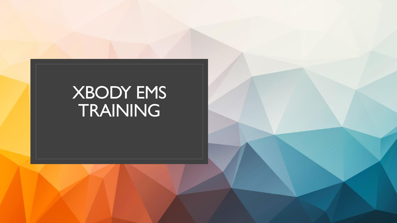## XBODY EMS TRAINING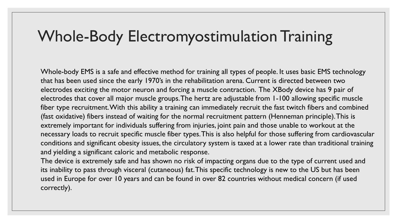## Whole-Body Electromyostimulation Training

Whole-body EMS is a safe and effective method for training all types of people. It uses basic EMS technology that has been used since the early 1970's in the rehabilitation arena. Current is directed between two electrodes exciting the motor neuron and forcing a muscle contraction. The XBody device has 9 pair of electrodes that cover all major muscle groups. The hertz are adjustable from 1-100 allowing specific muscle fiber type recruitment. With this ability a training can immediately recruit the fast twitch fibers and combined (fast oxidative) fibers instead of waiting for the normal recruitment pattern (Henneman principle). This is extremely important for individuals suffering from injuries, joint pain and those unable to workout at the necessary loads to recruit specific muscle fiber types. This is also helpful for those suffering from cardiovascular conditions and significant obesity issues, the circulatory system is taxed at a lower rate than traditional training and yielding a significant caloric and metabolic response.

The device is extremely safe and has shown no risk of impacting organs due to the type of current used and its inability to pass through visceral (cutaneous) fat. This specific technology is new to the US but has been used in Europe for over 10 years and can be found in over 82 countries without medical concern (if used correctly).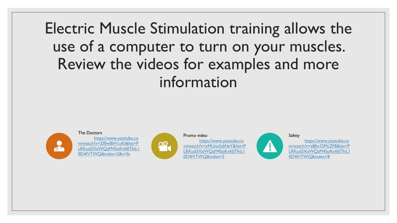Electric Muscle Stimulation training allows the use of a computer to turn on your muscles. Review the videos for examples and more information



The Doctors [https://www.youtube.co](https://www.youtube.com/watch?v=Zf0wBIH1uKI&list=PLRKud3XxWQzM4SoKnfdlTfnL10D4IVTWQ&index=2&t=0s) [m/watch?v=Zf0wBIH1uKI&list=P](https://www.youtube.com/watch?v=Zf0wBIH1uKI&list=PLRKud3XxWQzM4SoKnfdlTfnL10D4IVTWQ&index=2&t=0s) [LRKud3XxWQzM4SoKnfdlTfnL1](https://www.youtube.com/watch?v=Zf0wBIH1uKI&list=PLRKud3XxWQzM4SoKnfdlTfnL10D4IVTWQ&index=2&t=0s) [0D4IVTWQ&index=2&t=0s](https://www.youtube.com/watch?v=Zf0wBIH1uKI&list=PLRKud3XxWQzM4SoKnfdlTfnL10D4IVTWQ&index=2&t=0s)



## Promo video

[https://www.youtube.co](https://www.youtube.com/watch?v=xMUne5diNzY&list=PLRKud3XxWQzM4SoKnfdlTfnL10D4IVTWQ&index=2) [m/watch?v=xMUne5diNzY&list=P](https://www.youtube.com/watch?v=xMUne5diNzY&list=PLRKud3XxWQzM4SoKnfdlTfnL10D4IVTWQ&index=2) [LRKud3XxWQzM4SoKnfdlTfnL1](https://www.youtube.com/watch?v=xMUne5diNzY&list=PLRKud3XxWQzM4SoKnfdlTfnL10D4IVTWQ&index=2) [0D4IVTWQ&index=2](https://www.youtube.com/watch?v=xMUne5diNzY&list=PLRKud3XxWQzM4SoKnfdlTfnL10D4IVTWQ&index=2)



Safety

[https://www.youtube.co](https://www.youtube.com/watch?v=s8JhrOMcZF8&list=PLRKud3XxWQzM4SoKnfdlTfnL10D4IVTWQ&index=8) [m/watch?v=s8JhrOMcZF8&list=P](https://www.youtube.com/watch?v=s8JhrOMcZF8&list=PLRKud3XxWQzM4SoKnfdlTfnL10D4IVTWQ&index=8) [LRKud3XxWQzM4SoKnfdlTfnL1](https://www.youtube.com/watch?v=s8JhrOMcZF8&list=PLRKud3XxWQzM4SoKnfdlTfnL10D4IVTWQ&index=8) [0D4IVTWQ&index=8](https://www.youtube.com/watch?v=s8JhrOMcZF8&list=PLRKud3XxWQzM4SoKnfdlTfnL10D4IVTWQ&index=8)